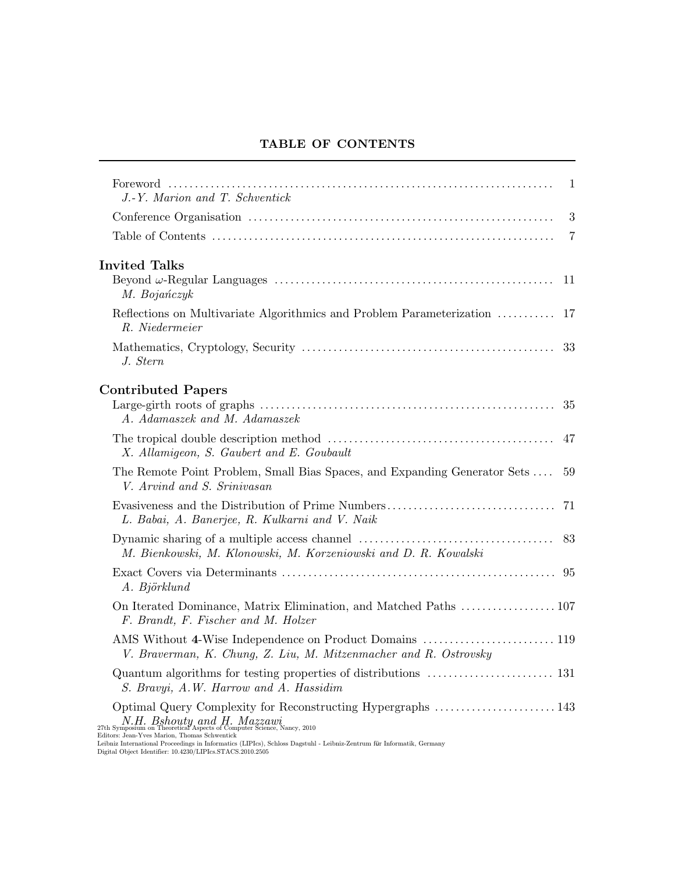## TABLE OF CONTENTS

| J.-Y. Marion and T. Schventick                                                                                                                                                                                                                                                                                                                   | $\mathbf{1}$ |
|--------------------------------------------------------------------------------------------------------------------------------------------------------------------------------------------------------------------------------------------------------------------------------------------------------------------------------------------------|--------------|
|                                                                                                                                                                                                                                                                                                                                                  | 3            |
|                                                                                                                                                                                                                                                                                                                                                  | 7            |
| <b>Invited Talks</b><br>M. Bojańczyk                                                                                                                                                                                                                                                                                                             | -11          |
| Reflections on Multivariate Algorithmics and Problem Parameterization<br>R. Niedermeier                                                                                                                                                                                                                                                          | -17          |
| J. Stern                                                                                                                                                                                                                                                                                                                                         |              |
| <b>Contributed Papers</b><br>A. Adamaszek and M. Adamaszek                                                                                                                                                                                                                                                                                       |              |
| X. Allamigeon, S. Gaubert and E. Goubault                                                                                                                                                                                                                                                                                                        |              |
| The Remote Point Problem, Small Bias Spaces, and Expanding Generator Sets<br>V. Arvind and S. Srinivasan                                                                                                                                                                                                                                         | 59           |
| L. Babai, A. Banerjee, R. Kulkarni and V. Naik                                                                                                                                                                                                                                                                                                   |              |
| M. Bienkowski, M. Klonowski, M. Korzeniowski and D. R. Kowalski                                                                                                                                                                                                                                                                                  | 83           |
| A. Björklund                                                                                                                                                                                                                                                                                                                                     |              |
| F. Brandt, F. Fischer and M. Holzer                                                                                                                                                                                                                                                                                                              |              |
| V. Braverman, K. Chung, Z. Liu, M. Mitzenmacher and R. Ostrovsky                                                                                                                                                                                                                                                                                 |              |
| S. Bravyi, A.W. Harrow and A. Hassidim                                                                                                                                                                                                                                                                                                           |              |
| $N.H.~Bshouty~and~H.~Maxzawi \ \rm 27th~Symposium~on~Theoretical Aspects~of~Computer~Science, Nancy,~2010$<br>Editors: Jean-Yves Marion, Thomas Schwentick<br>Leibniz International Proceedings in Informatics (LIPIcs), Schloss Dagstuhl - Leibniz-Zentrum für Informatik, Germany<br>Digital Object Identifier: 10.4230/LIPIcs.STACS.2010.2505 |              |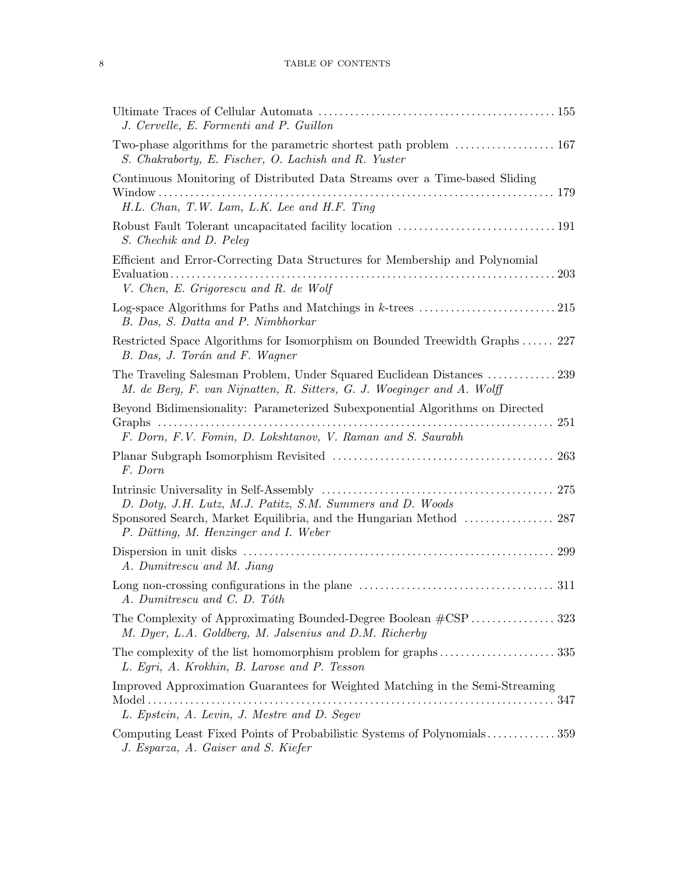## 8 TABLE OF CONTENTS

| J. Cervelle, E. Formenti and P. Guillon                                                                                                                                                      |     |
|----------------------------------------------------------------------------------------------------------------------------------------------------------------------------------------------|-----|
| S. Chakraborty, E. Fischer, O. Lachish and R. Yuster                                                                                                                                         |     |
| Continuous Monitoring of Distributed Data Streams over a Time-based Sliding                                                                                                                  |     |
| H.L. Chan, T.W. Lam, L.K. Lee and H.F. Ting                                                                                                                                                  |     |
| S. Chechik and D. Peleq                                                                                                                                                                      |     |
| Efficient and Error-Correcting Data Structures for Membership and Polynomial<br>$\text{Evaluation} \dots \dots \dots \dots \dots \dots \dots \dots$<br>V. Chen, E. Grigorescu and R. de Wolf | 203 |
| B. Das, S. Datta and P. Nimbhorkar                                                                                                                                                           |     |
| Restricted Space Algorithms for Isomorphism on Bounded Treewidth Graphs 227<br>B. Das, J. Torán and F. Wagner                                                                                |     |
| The Traveling Salesman Problem, Under Squared Euclidean Distances  239<br>M. de Berg, F. van Nijnatten, R. Sitters, G. J. Woeginger and A. Wolff                                             |     |
| Beyond Bidimensionality: Parameterized Subexponential Algorithms on Directed<br>F. Dorn, F.V. Fomin, D. Lokshtanov, V. Raman and S. Saurabh                                                  | 251 |
| F. Dorn                                                                                                                                                                                      | 263 |
| D. Doty, J.H. Lutz, M.J. Patitz, S.M. Summers and D. Woods                                                                                                                                   |     |
| Sponsored Search, Market Equilibria, and the Hungarian Method  287<br>P. Dütting, M. Henzinger and I. Weber                                                                                  |     |
| A. Dumitrescu and M. Jiang                                                                                                                                                                   | 299 |
| Long non-crossing configurations in the plane $\dots\dots\dots\dots\dots\dots\dots\dots\dots\dots\dots$<br>A. Dumitrescu and C. D. Tóth                                                      |     |
| The Complexity of Approximating Bounded-Degree Boolean #CSP  323<br>M. Dyer, L.A. Goldberg, M. Jalsenius and D.M. Richerby                                                                   |     |
| L. Egri, A. Krokhin, B. Larose and P. Tesson                                                                                                                                                 |     |
| Improved Approximation Guarantees for Weighted Matching in the Semi-Streaming                                                                                                                |     |
| L. Epstein, A. Levin, J. Mestre and D. Segev                                                                                                                                                 |     |
| Computing Least Fixed Points of Probabilistic Systems of Polynomials359<br>J. Esparza, A. Gaiser and S. Kiefer                                                                               |     |
|                                                                                                                                                                                              |     |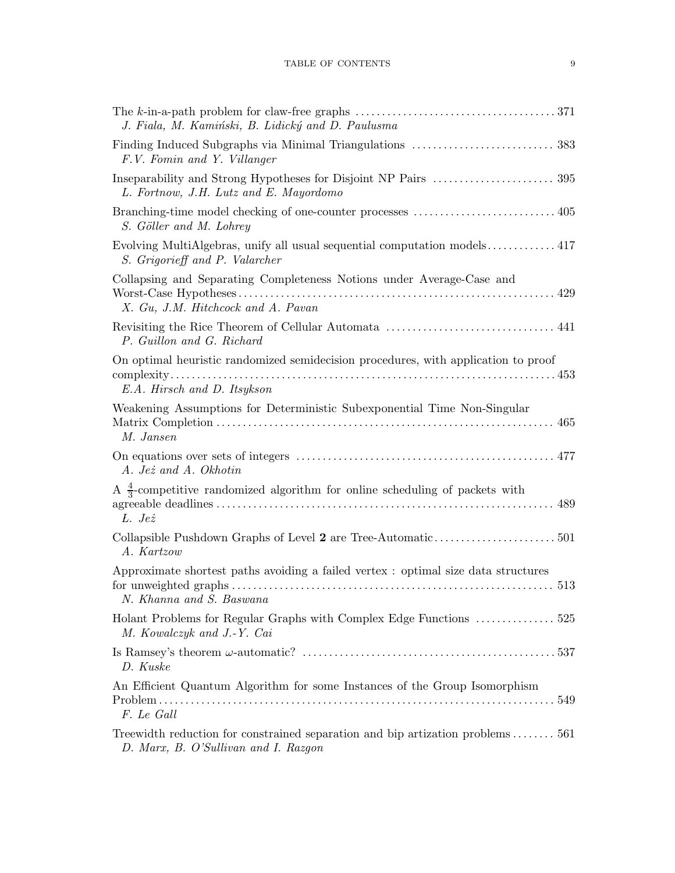| The k-in-a-path problem for claw-free graphs $\dots\dots\dots\dots\dots\dots\dots\dots\dots\dots\dots\dots\dots\dots371$<br>J. Fiala, M. Kamiński, B. Lidický and D. Paulusma |
|-------------------------------------------------------------------------------------------------------------------------------------------------------------------------------|
| F.V. Fomin and Y. Villanger                                                                                                                                                   |
| L. Fortnow, J.H. Lutz and E. Mayordomo                                                                                                                                        |
| S. Göller and M. Lohrey                                                                                                                                                       |
| Evolving MultiAlgebras, unify all usual sequential computation models 417<br>S. Grigorieff and P. Valarcher                                                                   |
| Collapsing and Separating Completeness Notions under Average-Case and<br>X. Gu, J.M. Hitchcock and A. Pavan                                                                   |
| P. Guillon and G. Richard                                                                                                                                                     |
| On optimal heuristic randomized semidecision procedures, with application to proof<br>E.A. Hirsch and D. Itsykson                                                             |
| Weakening Assumptions for Deterministic Subexponential Time Non-Singular<br>M. Jansen                                                                                         |
| A. Jeż and A. Okhotin                                                                                                                                                         |
| A $\frac{4}{3}$ -competitive randomized algorithm for online scheduling of packets with<br>L. Jeż                                                                             |
| A. Kartzow                                                                                                                                                                    |
| Approximate shortest paths avoiding a failed vertex : optimal size data structures<br>N. Khanna and S. Baswana                                                                |
| Holant Problems for Regular Graphs with Complex Edge Functions  525<br>M. Kowalczyk and J.-Y. Cai                                                                             |
| D. Kuske                                                                                                                                                                      |
| An Efficient Quantum Algorithm for some Instances of the Group Isomorphism<br>549<br>F. Le Gall                                                                               |
| Treewidth reduction for constrained separation and bip artization problems561<br>D. Marx, B. O'Sullivan and I. Razgon                                                         |